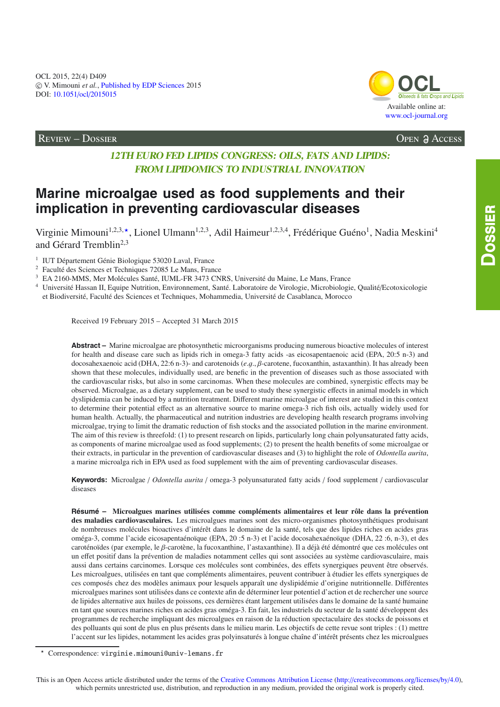Review – Dossier Open Access



## **12TH EURO FED LIPIDS CONGRESS: OILS, FATS AND LIPIDS: FROM LIPIDOMICS TO INDUSTRIAL INNOVATION**

# **Marine microalgae used as food supplements and their implication in preventing cardiovascular diseases**

Virginie Mimouni<sup>1,2,3,\*</sup>, Lionel Ulmann<sup>1,2,3</sup>, Adil Haimeur<sup>1,2,3,4</sup>, Frédérique Guéno<sup>1</sup>, Nadia Meskini<sup>4</sup> and Gérard Tremblin<sup>2,3</sup>

<sup>1</sup> IUT Département Génie Biologique 53020 Laval, France

<sup>2</sup> Faculté des Sciences et Techniques 72085 Le Mans, France

<sup>3</sup> EA 2160-MMS, Mer Molécules Santé, IUML-FR 3473 CNRS, Université du Maine, Le Mans, France

<sup>4</sup> Université Hassan II, Equipe Nutrition, Environnement, Santé. Laboratoire de Virologie, Microbiologie, Qualité/Ecotoxicologie et Biodiversité, Faculté des Sciences et Techniques, Mohammedia, Université de Casablanca, Morocco

Received 19 February 2015 – Accepted 31 March 2015

**Abstract –** Marine microalgae are photosynthetic microorganisms producing numerous bioactive molecules of interest for health and disease care such as lipids rich in omega-3 fatty acids -as eicosapentaenoic acid (EPA, 20:5 n-3) and docosahexaenoic acid (DHA, 22:6 n-3)- and carotenoids (*e*.g., β-carotene, fucoxanthin, astaxanthin). It has already been shown that these molecules, individually used, are benefic in the prevention of diseases such as those associated with the cardiovascular risks, but also in some carcinomas. When these molecules are combined, synergistic effects may be observed. Microalgae, as a dietary supplement, can be used to study these synergistic effects in animal models in which dyslipidemia can be induced by a nutrition treatment. Different marine microalgae of interest are studied in this context to determine their potential effect as an alternative source to marine omega-3 rich fish oils, actually widely used for human health. Actually, the pharmaceutical and nutrition industries are developing health research programs involving microalgae, trying to limit the dramatic reduction of fish stocks and the associated pollution in the marine environment. The aim of this review is threefold: (1) to present research on lipids, particularly long chain polyunsaturated fatty acids, as components of marine microalgae used as food supplements; (2) to present the health benefits of some microalgae or their extracts, in particular in the prevention of cardiovascular diseases and (3) to highlight the role of *Odontella aurita*, a marine microalga rich in EPA used as food supplement with the aim of preventing cardiovascular diseases.

**Keywords:** Microalgae / *Odontella aurita* / omega-3 polyunsaturated fatty acids / food supplement / cardiovascular diseases

**Résumé – Microalgues marines utilisées comme compléments alimentaires et leur rôle dans la prévention des maladies cardiovasculaires.** Les microalgues marines sont des micro-organismes photosynthétiques produisant de nombreuses molécules bioactives d'intérêt dans le domaine de la santé, tels que des lipides riches en acides gras oméga-3, comme l'acide eicosapentaénoïque (EPA, 20 :5 n-3) et l'acide docosahexaénoïque (DHA, 22 :6, n-3), et des caroténoïdes (par exemple, le β-carotène, la fucoxanthine, l'astaxanthine). Il a déjà été démontré que ces molécules ont un effet positif dans la prévention de maladies notamment celles qui sont associées au système cardiovasculaire, mais aussi dans certains carcinomes. Lorsque ces molécules sont combinées, des effets synergiques peuvent être observés. Les microalgues, utilisées en tant que compléments alimentaires, peuvent contribuer à étudier les effets synergiques de ces composés chez des modèles animaux pour lesquels apparaît une dyslipidémie d'origine nutritionnelle. Différentes microalgues marines sont utilisées dans ce contexte afin de déterminer leur potentiel d'action et de rechercher une source de lipides alternative aux huiles de poissons, ces dernières étant largement utilisées dans le domaine de la santé humaine en tant que sources marines riches en acides gras oméga-3. En fait, les industriels du secteur de la santé développent des programmes de recherche impliquant des microalgues en raison de la réduction spectaculaire des stocks de poissons et des polluants qui sont de plus en plus présents dans le milieu marin. Les objectifs de cette revue sont triples : (1) mettre l'accent sur les lipides, notamment les acides gras polyinsaturés à longue chaîne d'intérêt présents chez les microalgues

Correspondence: virginie.mimouni@univ-lemans.fr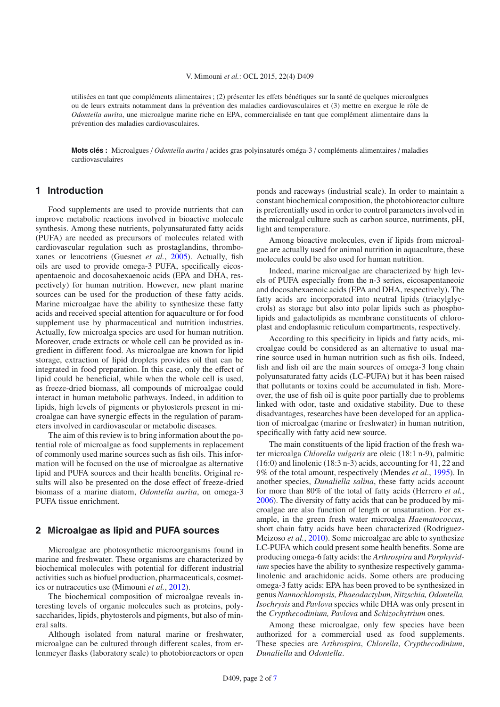utilisées en tant que compléments alimentaires ; (2) présenter les effets bénéfiques sur la santé de quelques microalgues ou de leurs extraits notamment dans la prévention des maladies cardiovasculaires et (3) mettre en exergue le rôle de *Odontella aurita*, une microalgue marine riche en EPA, commercialisée en tant que complément alimentaire dans la prévention des maladies cardiovasculaires.

**Mots clés :** Microalgues / *Odontella aurita* / acides gras polyinsaturés oméga-3 / compléments alimentaires / maladies cardiovasculaires

## **1 Introduction**

Food supplements are used to provide nutrients that can improve metabolic reactions involved in bioactive molecule synthesis. Among these nutrients, polyunsaturated fatty acids (PUFA) are needed as precursors of molecules related with cardiovascular regulation such as prostaglandins, thromboxanes or leucotriens (Guesnet *et al.*, [2005\)](#page-5-0). Actually, fish oils are used to provide omega-3 PUFA, specifically eicosapentaenoic and docosahexaenoic acids (EPA and DHA, respectively) for human nutrition. However, new plant marine sources can be used for the production of these fatty acids. Marine microalgae have the ability to synthesize these fatty acids and received special attention for aquaculture or for food supplement use by pharmaceutical and nutrition industries. Actually, few microalga species are used for human nutrition. Moreover, crude extracts or whole cell can be provided as ingredient in different food. As microalgae are known for lipid storage, extraction of lipid droplets provides oil that can be integrated in food preparation. In this case, only the effect of lipid could be beneficial, while when the whole cell is used, as freeze-dried biomass, all compounds of microalgae could interact in human metabolic pathways. Indeed, in addition to lipids, high levels of pigments or phytosterols present in microalgae can have synergic effects in the regulation of parameters involved in cardiovascular or metabolic diseases.

The aim of this review is to bring information about the potential role of microalgae as food supplements in replacement of commonly used marine sources such as fish oils. This information will be focused on the use of microalgae as alternative lipid and PUFA sources and their health benefits. Original results will also be presented on the dose effect of freeze-dried biomass of a marine diatom, *Odontella aurita*, on omega-3 PUFA tissue enrichment.

## **2 Microalgae as lipid and PUFA sources**

Microalgae are photosynthetic microorganisms found in marine and freshwater. These organisms are characterized by biochemical molecules with potential for different industrial activities such as biofuel production, pharmaceuticals, cosmetics or nutraceutics use (Mimouni *et al.*, [2012](#page-5-1)).

The biochemical composition of microalgae reveals interesting levels of organic molecules such as proteins, polysaccharides, lipids, phytosterols and pigments, but also of mineral salts.

Although isolated from natural marine or freshwater, microalgae can be cultured through different scales, from erlenmeyer flasks (laboratory scale) to photobioreactors or open ponds and raceways (industrial scale). In order to maintain a constant biochemical composition, the photobioreactor culture is preferentially used in order to control parameters involved in the microalgal culture such as carbon source, nutriments, pH, light and temperature.

Among bioactive molecules, even if lipids from microalgae are actually used for animal nutrition in aquaculture, these molecules could be also used for human nutrition.

Indeed, marine microalgae are characterized by high levels of PUFA especially from the n-3 series, eicosapentaneoic and docosahexaenoic acids (EPA and DHA, respectively). The fatty acids are incorporated into neutral lipids (triacylglycerols) as storage but also into polar lipids such as phospholipids and galactolipids as membrane constituents of chloroplast and endoplasmic reticulum compartments, respectively.

According to this specificity in lipids and fatty acids, microalgae could be considered as an alternative to usual marine source used in human nutrition such as fish oils. Indeed, fish and fish oil are the main sources of omega-3 long chain polyunsaturated fatty acids (LC-PUFA) but it has been raised that pollutants or toxins could be accumulated in fish. Moreover, the use of fish oil is quite poor partially due to problems linked with odor, taste and oxidative stability. Due to these disadvantages, researches have been developed for an application of microalgae (marine or freshwater) in human nutrition, specifically with fatty acid new source.

The main constituents of the lipid fraction of the fresh water microalga *Chlorella vulgaris* are oleic (18:1 n-9), palmitic (16:0) and linolenic (18:3 n-3) acids, accounting for 41, 22 and 9% of the total amount, respectively (Mendes *et al*., [1995\)](#page-5-2). In another species, *Dunaliella salina*, these fatty acids account for more than 80% of the total of fatty acids (Herrero *et al.*, [2006\)](#page-5-3). The diversity of fatty acids that can be produced by microalgae are also function of length or unsaturation. For example, in the green fresh water microalga *Haematococcus*, short chain fatty acids have been characterized (Rodriguez-Meizoso *et al.*, [2010](#page-6-0)). Some microalgae are able to synthesize LC-PUFA which could present some health benefits. Some are producing omega-6 fatty acids: the *Arthrospira* and *Porphyridium* species have the ability to synthesize respectively gammalinolenic and arachidonic acids. Some others are producing omega-3 fatty acids: EPA has been proved to be synthesized in genus *Nannochloropsis, Phaeodactylum, Nitzschia, Odontella, Isochrysis* and *Pavlova* species while DHA was only present in the *Crypthecodinium, Pavlova* and *Schizochytrium* ones.

Among these microalgae, only few species have been authorized for a commercial used as food supplements. These species are *Arthrospira*, *Chlorella*, *Crypthecodinium*, *Dunaliella* and *Odontella*.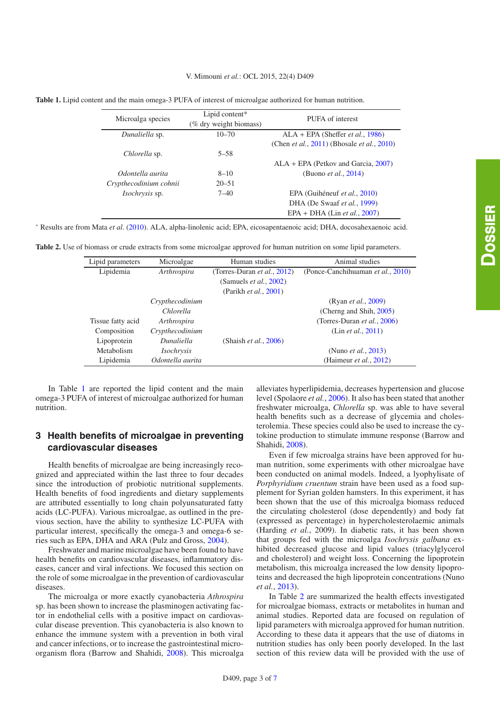#### V. Mimouni *et al.*: OCL 2015, 22(4) D409

<span id="page-2-1"></span><span id="page-2-0"></span>

|  | <b>Table 1.</b> Lipid content and the main omega-3 PUFA of interest of microalgae authorized for human nutrition. |  |
|--|-------------------------------------------------------------------------------------------------------------------|--|
|  |                                                                                                                   |  |

| Microalga species      | Lipid content*<br>(% dry weight biomass) | PUFA of interest                                           |
|------------------------|------------------------------------------|------------------------------------------------------------|
| Dunaliella sp.         | $10 - 70$                                | $ALA + EPA$ (Sheffer <i>et al.</i> , 1986)                 |
|                        |                                          | (Chen <i>et al.</i> , 2011) (Bhosale <i>et al.</i> , 2010) |
| Chlorella sp.          | $5 - 58$                                 |                                                            |
|                        |                                          | $ALA + EPA$ (Petkov and Garcia, 2007)                      |
| Odontella aurita       | $8 - 10$                                 | (Buono <i>et al.</i> , $2014$ )                            |
| Crypthecodinium cohnii | $20 - 51$                                |                                                            |
| <i>Isochrysis</i> sp.  | $7 - 40$                                 | EPA (Guihéneuf et al., 2010)                               |
|                        |                                          | DHA (De Swaaf et al., 1999)                                |
|                        |                                          | $EPA + DHA$ (Lin <i>et al.</i> , 2007)                     |
|                        |                                          |                                                            |

<sup>∗</sup> Results are from Mata *et al*. [\(2010](#page-5-10)). ALA, alpha-linolenic acid; EPA, eicosapentaenoic acid; DHA, docosahexaenoic acid.

**Table 2.** Use of biomass or crude extracts from some microalgae approved for human nutrition on some lipid parameters.

| Lipid parameters  | Microalgae                          | Human studies                                                                                                | Animal studies                                         |
|-------------------|-------------------------------------|--------------------------------------------------------------------------------------------------------------|--------------------------------------------------------|
| Lipidemia         | Arthrospira                         | (Torres-Duran <i>et al.</i> , $2012$ )<br>(Samuels <i>et al.</i> , $2002$ )<br>(Parikh <i>et al.</i> , 2001) | (Ponce-Canchihuaman et al., 2010)                      |
|                   | Crypthecodinium<br><i>Chlorella</i> |                                                                                                              | (Ryan <i>et al.</i> , 2009)<br>(Cherng and Shih, 2005) |
| Tissue fatty acid | Arthrospira                         |                                                                                                              | (Torres-Duran <i>et al.</i> , $2006$ )                 |
| Composition       | Crypthecodinium                     |                                                                                                              | (Lin <i>et al.</i> , 2011)                             |
| Lipoprotein       | Dunaliella                          | (Shaish <i>et al.</i> , $2006$ )                                                                             |                                                        |
| Metabolism        | <i>Isochrysis</i>                   |                                                                                                              | (Nuno <i>et al.</i> , 2013)                            |
| Lipidemia         | Odontella aurita                    |                                                                                                              | (Haimeur <i>et al.</i> , $2012$ )                      |

In Table [1](#page-2-0) are reported the lipid content and the main omega-3 PUFA of interest of microalgae authorized for human nutrition.

## **3 Health benefits of microalgae in preventing cardiovascular diseases**

Health benefits of microalgae are being increasingly recognized and appreciated within the last three to four decades since the introduction of probiotic nutritional supplements. Health benefits of food ingredients and dietary supplements are attributed essentially to long chain polyunsaturated fatty acids (LC-PUFA). Various microalgae, as outlined in the previous section, have the ability to synthesize LC-PUFA with particular interest, specifically the omega-3 and omega-6 series such as EPA, DHA and ARA (Pulz and Gross, [2004\)](#page-6-12).

Freshwater and marine microalgae have been found to have health benefits on cardiovascular diseases, inflammatory diseases, cancer and viral infections. We focused this section on the role of some microalgae in the prevention of cardiovascular diseases.

The microalga or more exactly cyanobacteria *Athrospira* sp. has been shown to increase the plasminogen activating factor in endothelial cells with a positive impact on cardiovascular disease prevention. This cyanobacteria is also known to enhance the immune system with a prevention in both viral and cancer infections, or to increase the gastrointestinal microorganism flora (Barrow and Shahidi, [2008\)](#page-5-14). This microalga alleviates hyperlipidemia, decreases hypertension and glucose level (Spolaore *et al.*, [2006\)](#page-6-13). It also has been stated that another freshwater microalga, *Chlorella* sp. was able to have several health benefits such as a decrease of glycemia and cholesterolemia. These species could also be used to increase the cytokine production to stimulate immune response (Barrow and Shahidi, [2008\)](#page-5-14).

Even if few microalga strains have been approved for human nutrition, some experiments with other microalgae have been conducted on animal models. Indeed, a lyophylisate of *Porphyridium cruentum* strain have been used as a food supplement for Syrian golden hamsters. In this experiment, it has been shown that the use of this microalga biomass reduced the circulating cholesterol (dose dependently) and body fat (expressed as percentage) in hypercholesterolaemic animals (Harding *et al.*, 2009). In diabetic rats, it has been shown that groups fed with the microalga *Isochrysis galbana* exhibited decreased glucose and lipid values (triacylglycerol and cholesterol) and weight loss. Concerning the lipoprotein metabolism, this microalga increased the low density lipoproteins and decreased the high lipoprotein concentrations (Nuno *et al.*, [2013\)](#page-6-11).

In Table [2](#page-2-1) are summarized the health effects investigated for microalgae biomass, extracts or metabolites in human and animal studies. Reported data are focused on regulation of lipid parameters with microalga approved for human nutrition. According to these data it appears that the use of diatoms in nutrition studies has only been poorly developed. In the last section of this review data will be provided with the use of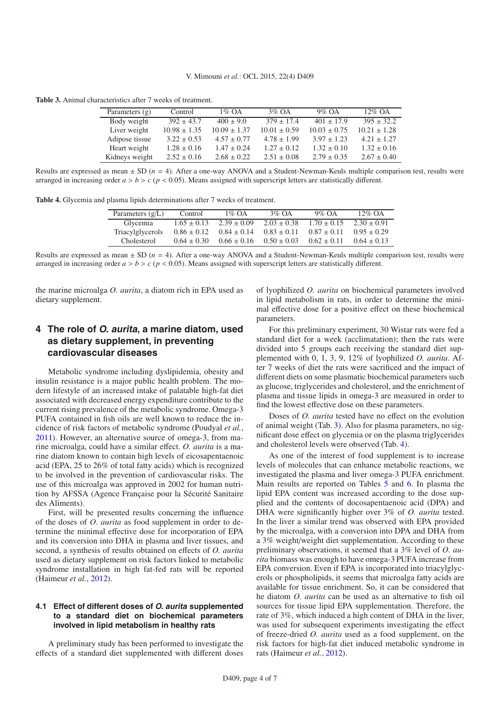<span id="page-3-1"></span><span id="page-3-0"></span>**Table 3.** Animal characteristics after 7 weeks of treatment.

| Parameters $(g)$ | Control          | $1\%$ OA         | $3\%$ OA         | $9\%$ OA         | $12\%$ OA        |
|------------------|------------------|------------------|------------------|------------------|------------------|
| Body weight      | $392 \pm 43.7$   | $400 \pm 9.0$    | $379 \pm 17.4$   | $401 \pm 17.9$   | $395 \pm 32.2$   |
| Liver weight     | $10.98 \pm 1.35$ | $10.09 \pm 1.37$ | $10.01 \pm 0.59$ | $10.03 \pm 0.75$ | $10.21 \pm 1.28$ |
| Adipose tissue   | $3.22 \pm 0.53$  | $4.57 \pm 0.77$  | $4.78 \pm 1.99$  | $3.97 \pm 1.23$  | $4.21 \pm 1.27$  |
| Heart weight     | $1.28 \pm 0.16$  | $1.47 \pm 0.24$  | $1.27 \pm 0.12$  | $1.32 \pm 0.10$  | $1.32 \pm 0.16$  |
| Kidneys weight   | $2.52 \pm 0.16$  | $2.68 \pm 0.22$  | $2.51 \pm 0.08$  | $2.79 \pm 0.35$  | $2.67 \pm 0.40$  |

Results are expressed as mean ± SD (*n* = 4). After a one-way ANOVA and a Student-Newman-Keuls multiple comparison test, results were arranged in increasing order  $a > b > c$  ( $p < 0.05$ ). Means assigned with superscript letters are statistically different.

**Table 4.** Glycemia and plasma lipids determinations after 7 weeks of treatment.

| Parameters $(g/L)$ | Control         | $1\%$ OA        | $3\%$ OA        | $9\%$ OA        | $12\%$ OA       |
|--------------------|-----------------|-----------------|-----------------|-----------------|-----------------|
| Glycemia           | $1.65 \pm 0.13$ | $2.39 \pm 0.09$ | $2.03 \pm 0.38$ | $1.70 \pm 0.15$ | $2.30 \pm 0.91$ |
| Triacylglycerols   | $0.86 \pm 0.12$ | $0.84 \pm 0.14$ | $0.83 \pm 0.11$ | $0.87 \pm 0.11$ | $0.95 \pm 0.29$ |
| Cholesterol        | $0.64 \pm 0.30$ | $0.66 \pm 0.16$ | $0.50 \pm 0.03$ | $0.62 \pm 0.11$ | $0.64 \pm 0.13$ |

Results are expressed as mean  $\pm$  SD ( $n = 4$ ). After a one-way ANOVA and a Student-Newman-Keuls multiple comparison test, results were arranged in increasing order  $a > b > c$  ( $p < 0.05$ ). Means assigned with superscript letters are statistically different.

the marine microalga *O. aurita*, a diatom rich in EPA used as dietary supplement.

## **4 The role of O. aurita, a marine diatom, used as dietary supplement, in preventing cardiovascular diseases**

Metabolic syndrome including dyslipidemia, obesity and insulin resistance is a major public health problem. The modern lifestyle of an increased intake of palatable high-fat diet associated with decreased energy expenditure contribute to the current rising prevalence of the metabolic syndrome. Omega-3 PUFA contained in fish oils are well known to reduce the incidence of risk factors of metabolic syndrome (Poudyal *et al.*, [2011\)](#page-6-14). However, an alternative source of omega-3, from marine microalga, could have a similar effect. *O. aurita* is a marine diatom known to contain high levels of eicosapentaenoic acid (EPA, 25 to 26% of total fatty acids) which is recognized to be involved in the prevention of cardiovascular risks. The use of this microalga was approved in 2002 for human nutrition by AFSSA (Agence Française pour la Sécurité Sanitaire des Aliments).

First, will be presented results concerning the influence of the doses of *O. aurita* as food supplement in order to determine the minimal effective dose for incorporation of EPA and its conversion into DHA in plasma and liver tissues, and second, a synthesis of results obtained on effects of *O. aurita* used as dietary supplement on risk factors linked to metabolic syndrome installation in high fat-fed rats will be reported (Haimeur *et al.*, [2012](#page-5-13)).

#### **4.1 Effect of different doses of O. aurita supplemented to a standard diet on biochemical parameters involved in lipid metabolism in healthy rats**

A preliminary study has been performed to investigate the effects of a standard diet supplemented with different doses of lyophilized *O. aurita* on biochemical parameters involved in lipid metabolism in rats, in order to determine the minimal effective dose for a positive effect on these biochemical parameters.

For this preliminary experiment, 30 Wistar rats were fed a standard diet for a week (acclimatation); then the rats were divided into 5 groups each receiving the standard diet supplemented with 0, 1, 3, 9, 12% of lyophilized *O. aurita*. After 7 weeks of diet the rats were sacrificed and the impact of different diets on some plasmatic biochemical parameters such as glucose, triglycerides and cholesterol, and the enrichment of plasma and tissue lipids in omega-3 are measured in order to find the lowest effective dose on these parameters.

Doses of *O. aurita* tested have no effect on the evolution of animal weight (Tab. [3\)](#page-3-0). Also for plasma parameters, no significant dose effect on glycemia or on the plasma triglycerides and cholesterol levels were observed (Tab. [4\)](#page-3-1).

As one of the interest of food supplement is to increase levels of molecules that can enhance metabolic reactions, we investigated the plasma and liver omega-3 PUFA enrichment. Main results are reported on Tables [5](#page-4-0) and [6.](#page-4-1) In plasma the lipid EPA content was increased according to the dose supplied and the contents of docosapentaenoic acid (DPA) and DHA were significantly higher over 3% of *O. aurita* tested. In the liver a similar trend was observed with EPA provided by the microalga, with a conversion into DPA and DHA from a 3% weight/weight diet supplementation. According to these preliminary observations, it seemed that a 3% level of *O. aurita* biomass was enough to have omega-3 PUFA increase from EPA conversion. Even if EPA is incorporated into triacylglycerols or phospholipids, it seems that microalga fatty acids are available for tissue enrichment. So, it can be considered that he diatom *O. aurita* can be used as an alternative to fish oil sources for tissue lipid EPA supplementation. Therefore, the rate of 3%, which induced a high content of DHA in the liver, was used for subsequent experiments investigating the effect of freeze-dried *O. aurita* used as a food supplement, on the risk factors for high-fat diet induced metabolic syndrome in rats (Haimeur *et al.*, [2012\)](#page-5-13).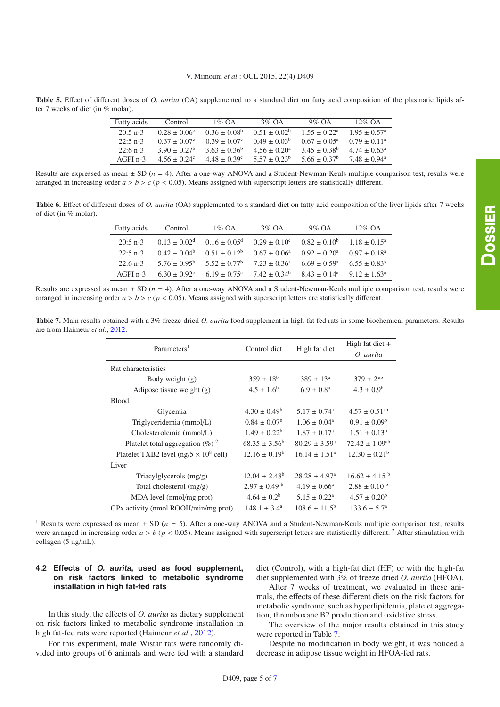<span id="page-4-1"></span><span id="page-4-0"></span>**Table 5.** Effect of different doses of *O. aurita* (OA) supplemented to a standard diet on fatty acid composition of the plasmatic lipids after 7 weeks of diet (in % molar).

| Fatty acids | Control                 | $1\%$ OA                | 3\% $\Omega$ A          | $9\%$ OA                | $12\%$ OA                    |
|-------------|-------------------------|-------------------------|-------------------------|-------------------------|------------------------------|
| $20:5$ n-3  | $0.28 + 0.06^{\circ}$   | $0.36 + 0.08^b$         | $0.51 + 0.02^b$         | $1.55 + 0.22^a$         | $1.95 + 0.57$ <sup>a</sup>   |
| $22:5$ n-3  | $0.37 + 0.07c$          | $0.39 \pm 0.07$ °       | $0.49 \pm 0.03^b$       | $0.67 + 0.05^{\circ}$   | $0.79 \pm 0.11^{\circ}$      |
| $22:6$ n-3  | $3.90 \pm 0.27^{\rm b}$ | $3.63 \pm 0.36^b$       | $4.56 \pm 0.20^{\circ}$ | $3.45 \pm 0.38^{\rm b}$ | $4.74 + 0.63^{\circ}$        |
| $AGPI n-3$  | $4.56 + 0.24^c$         | $4.48 \pm 0.39^{\circ}$ | $5.57 \pm 0.23^b$       | $5.66 \pm 0.37^b$       | $7.48 \pm 0.94$ <sup>a</sup> |

Results are expressed as mean ± SD (*n* = 4). After a one-way ANOVA and a Student-Newman-Keuls multiple comparison test, results were arranged in increasing order  $a > b > c$  ( $p < 0.05$ ). Means assigned with superscript letters are statistically different.

<span id="page-4-2"></span>**Table 6.** Effect of different doses of *O. aurita* (OA) supplemented to a standard diet on fatty acid composition of the liver lipids after 7 weeks of diet (in % molar).

| Fatty acids | Control                 | $1\%$ OA                                                                                  | $3\%$ OA | $9\%$ OA                            | $12\%$ OA                  |
|-------------|-------------------------|-------------------------------------------------------------------------------------------|----------|-------------------------------------|----------------------------|
| $20:5$ n-3  |                         | $0.13 \pm 0.02^d$ $0.16 \pm 0.05^d$ $0.29 \pm 0.10^c$ $0.82 \pm 0.10^b$ $1.18 \pm 0.15^a$ |          |                                     |                            |
| $22:5$ n-3  | $0.42 \pm 0.04^b$       | $0.51 \pm 0.12^b$ $0.67 \pm 0.06^a$                                                       |          | $0.92 \pm 0.20^{\circ}$             | $0.97 \pm 0.18^{\text{a}}$ |
| $22:6$ n-3  | $5.76 \pm 0.95^{\rm b}$ | $5.52 \pm 0.77^{\circ}$ $7.23 \pm 0.36^{\circ}$                                           |          | $6.69 \pm 0.59^{\circ}$             | $6.55 \pm 0.83^{\circ}$    |
| $AGPI$ n-3  | $6.30 \pm 0.92^{\circ}$ | $6.19 \pm 0.75^{\circ}$ $7.42 \pm 0.34^{\circ}$                                           |          | $8.43 \pm 0.14^a$ $9.12 \pm 1.63^a$ |                            |

Results are expressed as mean ± SD (*n* = 4). After a one-way ANOVA and a Student-Newman-Keuls multiple comparison test, results were arranged in increasing order  $a > b > c$  ( $p < 0.05$ ). Means assigned with superscript letters are statistically different.

**Table 7.** Main results obtained with a 3% freeze-dried *O. aurita* food supplement in high-fat fed rats in some biochemical parameters. Results are from Haimeur *et al*., [2012](#page-5-13).

| Parameters <sup>1</sup>                        | Control diet                | High fat diet                | High fat diet $+$             |
|------------------------------------------------|-----------------------------|------------------------------|-------------------------------|
|                                                |                             |                              | O. aurita                     |
| Rat characteristics                            |                             |                              |                               |
| Body weight $(g)$                              | $359 \pm 18^b$              | $389 \pm 13^a$               | $379 \pm 2^{ab}$              |
| Adipose tissue weight $(g)$                    | $4.5 \pm 1.6^{\rm b}$       | $6.9 \pm 0.8^{\rm a}$        | $4.3 \pm 0.9^{\rm b}$         |
| <b>Blood</b>                                   |                             |                              |                               |
| Glycemia                                       | $4.30 \pm 0.49^b$           | $5.17 \pm 0.74$ <sup>a</sup> | $4.57 \pm 0.51$ <sup>ab</sup> |
| Triglyceridemia (mmol/L)                       | $0.84 \pm 0.07^b$           | $1.06 \pm 0.04^{\circ}$      | $0.91 \pm 0.09^b$             |
| Cholesterolemia (mmol/L)                       | $1.49 \pm 0.22^b$           | $1.87 \pm 0.17^{\circ}$      | $1.51 \pm 0.13^b$             |
| Platelet total aggregation $(\%)$ <sup>2</sup> | $68.35 \pm 3.56^b$          | $80.29 \pm 3.59^{\circ}$     | $72.42 \pm 1.09^{ab}$         |
| Platelet TXB2 level ( $ng/5 \times 10^8$ cell) | $12.16 \pm 0.19^b$          | $16.14 \pm 1.51^{\circ}$     | $12.30 \pm 0.21^b$            |
| Liver                                          |                             |                              |                               |
| Triacylglycerols $(mg/g)$                      | $12.04 \pm 2.48^b$          | $28.28 \pm 4.97^{\circ}$     | $16.62 \pm 4.15^{b}$          |
| Total cholesterol $(mg/g)$                     | $2.97 \pm 0.49^{\text{ b}}$ | $4.19 \pm 0.66^{\circ}$      | $2.88 \pm 0.10^{b}$           |
| MDA level (nmol/mg prot)                       | $4.64 \pm 0.2^b$            | $5.15 \pm 0.22^{\text{a}}$   | $4.57 \pm 0.20^{\rm b}$       |
| GPx activity (nmol ROOH/min/mg prot)           | $148.1 \pm 3.4^{\circ}$     | $108.6 \pm 11.5^{\circ}$     | $133.6 \pm 5.7^{\circ}$       |

<sup>1</sup> Results were expressed as mean  $\pm$  SD ( $n = 5$ ). After a one-way ANOVA and a Student-Newman-Keuls multiple comparison test, results were arranged in increasing order  $a > b$  ( $p < 0.05$ ). Means assigned with superscript letters are statistically different.<sup>2</sup> After stimulation with collagen (5 µg/mL).

## **4.2 Effects of O. aurita, used as food supplement, on risk factors linked to metabolic syndrome installation in high fat-fed rats**

In this study, the effects of *O. aurita* as dietary supplement on risk factors linked to metabolic syndrome installation in high fat-fed rats were reported (Haimeur *et al.*, [2012\)](#page-5-13).

For this experiment, male Wistar rats were randomly divided into groups of 6 animals and were fed with a standard diet (Control), with a high-fat diet (HF) or with the high-fat diet supplemented with 3% of freeze dried *O. aurita* (HFOA).

After 7 weeks of treatment, we evaluated in these animals, the effects of these different diets on the risk factors for metabolic syndrome, such as hyperlipidemia, platelet aggregation, thromboxane B2 production and oxidative stress.

The overview of the major results obtained in this study were reported in Table [7.](#page-4-2)

Despite no modification in body weight, it was noticed a decrease in adipose tissue weight in HFOA-fed rats.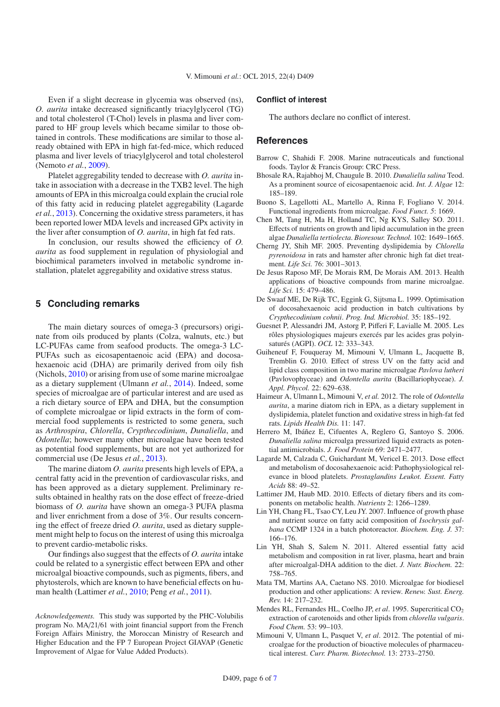Even if a slight decrease in glycemia was observed (ns), *O. aurita* intake decreased significantly triacylglycerol (TG) and total cholesterol (T-Chol) levels in plasma and liver compared to HF group levels which became similar to those obtained in controls. These modifications are similar to those already obtained with EPA in high fat-fed-mice, which reduced plasma and liver levels of triacylglycerol and total cholesterol (Nemoto *et al.*, [2009\)](#page-6-15).

Platelet aggregability tended to decrease with *O. aurita* intake in association with a decrease in the TXB2 level. The high amounts of EPA in this microalga could explain the crucial role of this fatty acid in reducing platelet aggregability (Lagarde *et al.*, [2013\)](#page-5-15). Concerning the oxidative stress parameters, it has been reported lower MDA levels and increased GPx activity in the liver after consumption of *O. aurita*, in high fat fed rats.

In conclusion, our results showed the efficiency of *O. aurita* as food supplement in regulation of physiologial and biochimical parameters involved in metabolic syndrome installation, platelet aggregability and oxidative stress status.

## **5 Concluding remarks**

The main dietary sources of omega-3 (precursors) originate from oils produced by plants (Colza, walnuts, etc.) but LC-PUFAs came from seafood products. The omega-3 LC-PUFAs such as eicosapentaenoic acid (EPA) and docosahexaenoic acid (DHA) are primarily derived from oily fish (Nichols, [2010\)](#page-6-16) or arising from use of some marine microalgae as a dietary supplement (Ulmann *et al.*, [2014\)](#page-6-17). Indeed, some species of microalgae are of particular interest and are used as a rich dietary source of EPA and DHA, but the consumption of complete microalgae or lipid extracts in the form of commercial food supplements is restricted to some genera, such as *Arthrospira*, *Chlorella*, *Crypthecodinium*, *Dunaliella*, and *Odontella*; however many other microalgae have been tested as potential food supplements, but are not yet authorized for commercial use (De Jesus *et al.*, [2013\)](#page-5-16).

The marine diatom *O. aurita* presents high levels of EPA, a central fatty acid in the prevention of cardiovascular risks, and has been approved as a dietary supplement. Preliminary results obtained in healthy rats on the dose effect of freeze-dried biomass of *O. aurita* have shown an omega-3 PUFA plasma and liver enrichment from a dose of 3%. Our results concerning the effect of freeze dried *O. aurita*, used as dietary supplement might help to focus on the interest of using this microalga to prevent cardio-metabolic risks.

Our findings also suggest that the effects of *O. aurita* intake could be related to a synergistic effect between EPA and other microalgal bioactive compounds, such as pigments, fibers, and phytosterols, which are known to have beneficial effects on human health (Lattimer *et al.*, [2010](#page-5-17); Peng *et al.*, [2011\)](#page-6-18).

*Acknowledgements.* This study was supported by the PHC-Volubilis program No. MA/21/61 with joint financial support from the French Foreign Affairs Ministry, the Moroccan Ministry of Research and Higher Education and the FP 7 European Project GIAVAP (Genetic Improvement of Algae for Value Added Products).

#### **Conflict of interest**

The authors declare no conflict of interest.

#### **References**

- <span id="page-5-14"></span>Barrow C, Shahidi F. 2008. Marine nutraceuticals and functional foods. Taylor & Francis Group: CRC Press.
- <span id="page-5-5"></span>Bhosale RA, Rajabhoj M, Chaugule B. 2010. *Dunaliella salina* Teod. As a prominent source of eicosapentaenoic acid. *Int. J. Algae* 12: 185–189.
- <span id="page-5-6"></span>Buono S, Lagellotti AL, Martello A, Rinna F, Fogliano V. 2014. Functional ingredients from microalgae. *Food Funct. 5*: 1669.
- <span id="page-5-4"></span>Chen M, Tang H, Ma H, Holland TC, Ng KYS, Salley SO. 2011. Effects of nutrients on growth and lipid accumulation in the green algae *Dunaliella tertiolecta*. *Bioresour. Technol.* 102: 1649–1665.
- <span id="page-5-11"></span>Cherng JY, Shih MF. 2005. Preventing dyslipidemia by *Chlorella pyrenoidosa* in rats and hamster after chronic high fat diet treatment. *Life Sci.* 76: 3001–3013.
- <span id="page-5-16"></span>De Jesus Raposo MF, De Morais RM, De Morais AM. 2013. Health applications of bioactive compounds from marine microalgae. *Life Sci.* 15: 479–486.
- <span id="page-5-8"></span>De Swaaf ME, De Rijk TC, Eggink G, Sijtsma L. 1999. Optimisation of docosahexaenoic acid production in batch cultivations by *Crypthecodinium cohnii*. *Prog. Ind. Microbiol.* 35: 185–192.
- <span id="page-5-0"></span>Guesnet P, Alessandri JM, Astorg P, Pifferi F, Lavialle M. 2005. Les rôles physiologiques majeurs exercés par les acides gras polyinsaturés (AGPI). *OCL* 12: 333–343.
- <span id="page-5-7"></span>Guiheneuf F, Fouqueray M, Mimouni V, Ulmann L, Jacquette B, Tremblin G. 2010. Effect of stress UV on the fatty acid and lipid class composition in two marine microalgae *Pavlova lutheri* (Pavlovophyceae) and *Odontella aurita* (Bacillariophyceae). *J. Appl. Phycol.* 22: 629–638.
- <span id="page-5-13"></span>Haimeur A, Ulmann L, Mimouni V, *et al.* 2012. The role of *Odontella aurita*, a marine diatom rich in EPA, as a dietary supplement in dyslipidemia, platelet function and oxidative stress in high-fat fed rats. *Lipids Health Dis.* 11: 147.
- <span id="page-5-3"></span>Herrero M, Ibáñez E, Cifuentes A, Reglero G, Santoyo S. 2006. *Dunaliella salina* microalga pressurized liquid extracts as potential antimicrobials. *J. Food Protein* 69: 2471–2477.
- <span id="page-5-15"></span>Lagarde M, Calzada C, Guichardant M, Vericel E. 2013. Dose effect and metabolism of docosahexaenoic acid: Pathophysiological relevance in blood platelets. *Prostaglandins Leukot. Essent. Fatty Acids* 88: 49–52.
- <span id="page-5-17"></span>Lattimer JM, Haub MD. 2010. Effects of dietary fibers and its components on metabolic health. *Nutrients* 2: 1266–1289.
- <span id="page-5-9"></span>Lin YH, Chang FL, Tsao CY, Leu JY. 2007. Influence of growth phase and nutrient source on fatty acid composition of *Isochrysis galbana* CCMP 1324 in a batch photoreactor. *Biochem. Eng. J.* 37: 166–176.
- <span id="page-5-12"></span>Lin YH, Shah S, Salem N. 2011. Altered essential fatty acid metabolism and composition in rat liver, plasma, heart and brain after microalgal-DHA addition to the diet. *J. Nutr. Biochem.* 22: 758–765.
- <span id="page-5-10"></span>Mata TM, Martins AA, Caetano NS. 2010. Microalgae for biodiesel production and other applications: A review. *Renew. Sust. Energ. Rev.* 14: 217–232.
- <span id="page-5-2"></span>Mendes RL, Fernandes HL, Coelho JP, *et al*. 1995. Supercritical CO2 extraction of carotenoids and other lipids from *chlorella vulgaris*. *Food Chem.* 53: 99–103.
- <span id="page-5-1"></span>Mimouni V, Ulmann L, Pasquet V, *et al*. 2012. The potential of microalgae for the production of bioactive molecules of pharmaceutical interest. *Curr. Pharm. Biotechnol.* 13: 2733–2750.